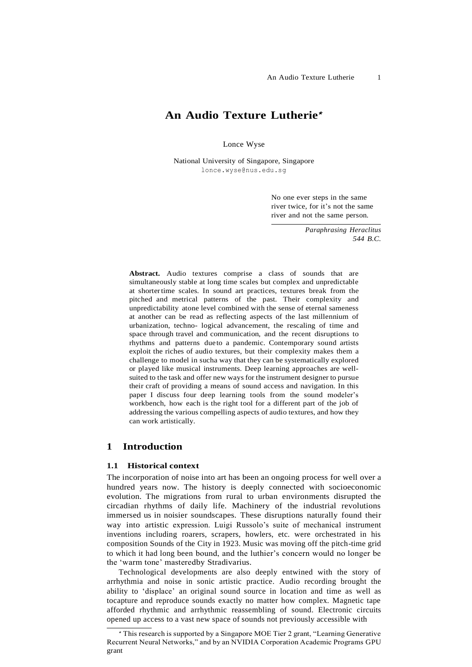# **An Audio Texture Lutherie**<sup>⋆</sup>

Lonce Wyse

National University of Singapore, Singapore [lonce.wyse@nus.edu.sg](mailto:lonce.wyse@nus.edu.sg)

> No one ever steps in the same river twice, for it's not the same river and not the same person.

> > *Paraphrasing Heraclitus 544 B.C.*

**Abstract.** Audio textures comprise a class of sounds that are simultaneously stable at long time scales but complex and unpredictable at shortertime scales. In sound art practices, textures break from the pitched and metrical patterns of the past. Their complexity and unpredictability atone level combined with the sense of eternal sameness at another can be read as reflecting aspects of the last millennium of urbanization, techno- logical advancement, the rescaling of time and space through travel and communication, and the recent disruptions to rhythms and patterns dueto a pandemic. Contemporary sound artists exploit the riches of audio textures, but their complexity makes them a challenge to model in sucha way that they can be systematically explored or played like musical instruments. Deep learning approaches are wellsuited to the task and offer new ways for the instrument designer to pursue their craft of providing a means of sound access and navigation. In this paper I discuss four deep learning tools from the sound modeler's workbench, how each is the right tool for a different part of the job of addressing the various compelling aspects of audio textures, and how they can work artistically.

# **1 Introduction**

#### **1.1 Historical context**

The incorporation of noise into art has been an ongoing process for well over a hundred years now. The history is deeply connected with socioeconomic evolution. The migrations from rural to urban environments disrupted the circadian rhythms of daily life. Machinery of the industrial revolutions immersed us in noisier soundscapes. These disruptions naturally found their way into artistic expression. Luigi Russolo's suite of mechanical instrument inventions including roarers, scrapers, howlers, etc. were orchestrated in his composition Sounds of the City in 1923. Music was moving off the pitch-time grid to which it had long been bound, and the luthier's concern would no longer be the 'warm tone' masteredby Stradivarius.

Technological developments are also deeply entwined with the story of arrhythmia and noise in sonic artistic practice. Audio recording brought the ability to 'displace' an original sound source in location and time as well as tocapture and reproduce sounds exactly no matter how complex. Magnetic tape afforded rhythmic and arrhythmic reassembling of sound. Electronic circuits opened up access to a vast new space of sounds not previously accessible with

<sup>⋆</sup> This research is supported by a Singapore MOE Tier 2 grant, "Learning Generative Recurrent Neural Networks," and by an NVIDIA Corporation Academic Programs GPU grant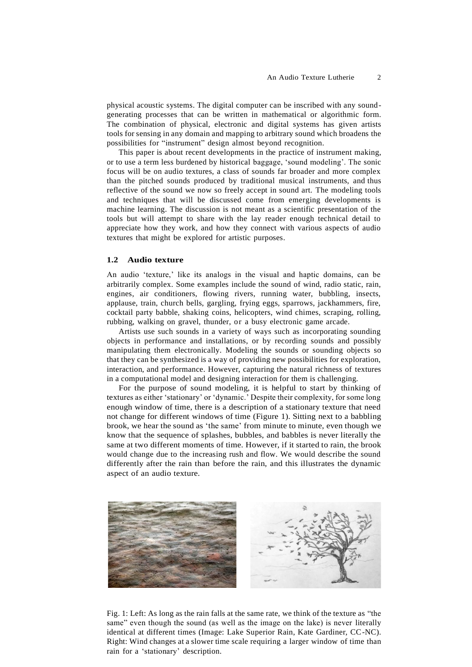physical acoustic systems. The digital computer can be inscribed with any soundgenerating processes that can be written in mathematical or algorithmic form. The combination of physical, electronic and digital systems has given artists tools for sensing in any domain and mapping to arbitrary sound which broadens the possibilities for "instrument" design almost beyond recognition.

This paper is about recent developments in the practice of instrument making, or to use a term less burdened by historical baggage, 'sound modeling'. The sonic focus will be on audio textures, a class of sounds far broader and more complex than the pitched sounds produced by traditional musical instruments, and thus reflective of the sound we now so freely accept in sound art. The modeling tools and techniques that will be discussed come from emerging developments is machine learning. The discussion is not meant as a scientific presentation of the tools but will attempt to share with the lay reader enough technical detail to appreciate how they work, and how they connect with various aspects of audio textures that might be explored for artistic purposes.

#### **1.2 Audio texture**

An audio 'texture,' like its analogs in the visual and haptic domains, can be arbitrarily complex. Some examples include the sound of wind, radio static, rain, engines, air conditioners, flowing rivers, running water, bubbling, insects, applause, train, church bells, gargling, frying eggs, sparrows, jackhammers, fire, cocktail party babble, shaking coins, helicopters, wind chimes, scraping, rolling, rubbing, walking on gravel, thunder, or a busy electronic game arcade.

Artists use such sounds in a variety of ways such as incorporating sounding objects in performance and installations, or by recording sounds and possibly manipulating them electronically. Modeling the sounds or sounding objects so that they can be synthesized is a way of providing new possibilities for exploration, interaction, and performance. However, capturing the natural richness of textures in a computational model and designing interaction for them is challenging.

For the purpose of sound modeling, it is helpful to start by thinking of textures as either 'stationary' or 'dynamic.' Despite their complexity, for some long enough window of time, there is a description of a stationary texture that need not change for different windows of time (Figure 1). Sitting next to a babbling brook, we hear the sound as 'the same' from minute to minute, even though we know that the sequence of splashes, bubbles, and babbles is never literally the same at two different moments of time. However, if it started to rain, the brook would change due to the increasing rush and flow. We would describe the sound differently after the rain than before the rain, and this illustrates the dynamic aspect of an audio texture.



Fig. 1: Left: As long as the rain falls at the same rate, we think of the texture as "the same" even though the sound (as well as the image on the lake) is never literally identical at different times (Image: Lake Superior Rain, Kate Gardiner, CC-NC). Right: Wind changes at a slower time scale requiring a larger window of time than rain for a 'stationary' description.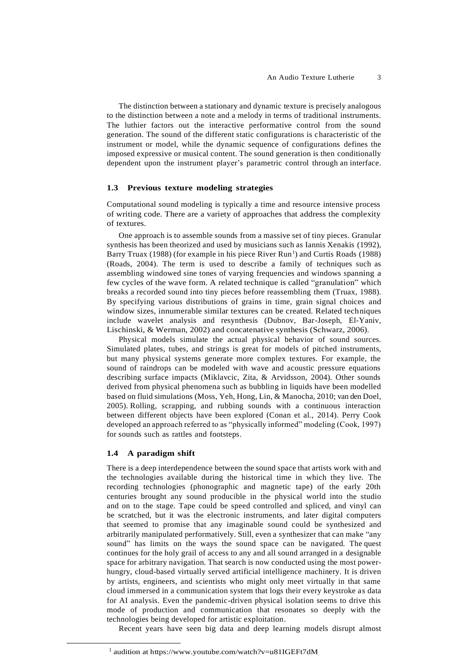The distinction between a stationary and dynamic texture is precisely analogous to the distinction between a note and a melody in terms of traditional instruments. The luthier factors out the interactive performative control from the sound generation. The sound of the different static configurations is characteristic of the instrument or model, while the dynamic sequence of configurations defines the imposed expressive or musical content. The sound generation is then conditionally dependent upon the instrument player's parametric control through an interface.

#### **1.3 Previous texture modeling strategies**

Computational sound modeling is typically a time and resource intensive process of writing code. There are a variety of approaches that address the complexity of textures.

One approach is to assemble sounds from a massive set of tiny pieces. Granular synthesis has been theorized and used by musicians such as Iannis Xenakis (1992), Barry Truax (1988) (for example in his piece River Run<sup>1</sup>) and Curtis Roads (1988) (Roads, 2004). The term is used to describe a family of techniques such as assembling windowed sine tones of varying frequencies and windows spanning a few cycles of the wave form. A related technique is called "granulation" which breaks a recorded sound into tiny pieces before reassembling them (Truax, 1988). By specifying various distributions of grains in time, grain signal choices and window sizes, innumerable similar textures can be created. Related techniques include wavelet analysis and resynthesis (Dubnov, Bar-Joseph, El-Yaniv, Lischinski, & Werman, 2002) and concatenative synthesis (Schwarz, 2006).

Physical models simulate the actual physical behavior of sound sources. Simulated plates, tubes, and strings is great for models of pitched instruments, but many physical systems generate more complex textures. For example, the sound of raindrops can be modeled with wave and acoustic pressure equations describing surface impacts (Miklavcic, Zita, & Arvidsson, 2004). Other sounds derived from physical phenomena such as bubbling in liquids have been modelled based on fluid simulations (Moss, Yeh, Hong, Lin, & Manocha, 2010; van den Doel, 2005). Rolling, scrapping, and rubbing sounds with a continuous interaction between different objects have been explored (Conan et al., 2014). Perry Cook developed an approach referred to as "physically informed" modeling (Cook, 1997) for sounds such as rattles and footsteps.

#### **1.4 A paradigm shift**

There is a deep interdependence between the sound space that artists work with and the technologies available during the historical time in which they live. The recording technologies (phonographic and magnetic tape) of the early 20th centuries brought any sound producible in the physical world into the studio and on to the stage. Tape could be speed controlled and spliced, and vinyl can be scratched, but it was the electronic instruments, and later digital computers that seemed to promise that any imaginable sound could be synthesized and arbitrarily manipulated performatively. Still, even a synthesizer that can make "any sound" has limits on the ways the sound space can be navigated. The quest continues for the holy grail of access to any and all sound arranged in a designable space for arbitrary navigation. That search is now conducted using the most powerhungry, cloud-based virtually served artificial intelligence machinery. It is driven by artists, engineers, and scientists who might only meet virtually in that same cloud immersed in a communication system that logs their every keystroke as data for AI analysis. Even the pandemic-driven physical isolation seems to drive this mode of production and communication that resonates so deeply with the technologies being developed for artistic exploitation.

Recent years have seen big data and deep learning models disrupt almost

<sup>1</sup> audition at h[ttps://www.yo](http://www.youtube.com/watch?v=u81IGEFt7dM)utu[be.com/watch?v=u81IGEFt7dM](http://www.youtube.com/watch?v=u81IGEFt7dM)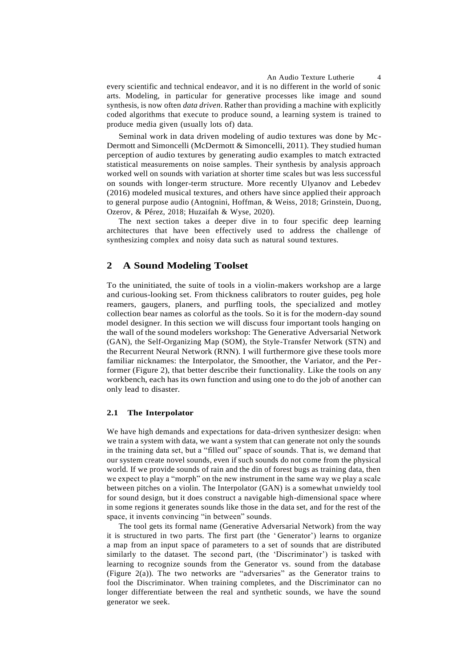An Audio Texture Lutherie 4

every scientific and technical endeavor, and it is no different in the world of sonic arts. Modeling, in particular for generative processes like image and sound synthesis, is now often *data driven*. Rather than providing a machine with explicitly coded algorithms that execute to produce sound, a learning system is trained to produce media given (usually lots of) data.

Seminal work in data driven modeling of audio textures was done by Mc-Dermott and Simoncelli (McDermott & Simoncelli, 2011). They studied human perception of audio textures by generating audio examples to match extracted statistical measurements on noise samples. Their synthesis by analysis approach worked well on sounds with variation at shorter time scales but was less successful on sounds with longer-term structure. More recently Ulyanov and Lebedev (2016) modeled musical textures, and others have since applied their approach to general purpose audio (Antognini, Hoffman, & Weiss, 2018; Grinstein, Duong, Ozerov, & Pérez, 2018; Huzaifah & Wyse, 2020).

The next section takes a deeper dive in to four specific deep learning architectures that have been effectively used to address the challenge of synthesizing complex and noisy data such as natural sound textures.

## **2 A Sound Modeling Toolset**

To the uninitiated, the suite of tools in a violin-makers workshop are a large and curious-looking set. From thickness calibrators to router guides, peg hole reamers, gaugers, planers, and purfling tools, the specialized and motley collection bear names as colorful as the tools. So it is for the modern-day sound model designer. In this section we will discuss four important tools hanging on the wall of the sound modelers workshop: The Generative Adversarial Network (GAN), the Self-Organizing Map (SOM), the Style-Transfer Network (STN) and the Recurrent Neural Network (RNN). I will furthermore give these tools more familiar nicknames: the Interpolator, the Smoother, the Variator, and the Performer (Figure 2), that better describe their functionality. Like the tools on any workbench, each has its own function and using one to do the job of another can only lead to disaster.

#### **2.1 The Interpolator**

We have high demands and expectations for data-driven synthesizer design: when we train a system with data, we want a system that can generate not only the sounds in the training data set, but a "filled out" space of sounds. That is, we demand that our system create novel sounds, even if such sounds do not come from the physical world. If we provide sounds of rain and the din of forest bugs as training data, then we expect to play a "morph" on the new instrument in the same way we play a scale between pitches on a violin. The Interpolator (GAN) is a somewhat unwieldy tool for sound design, but it does construct a navigable high-dimensional space where in some regions it generates sounds like those in the data set, and for the rest of the space, it invents convincing "in between" sounds.

The tool gets its formal name (Generative Adversarial Network) from the way it is structured in two parts. The first part (the ' Generator') learns to organize a map from an input space of parameters to a set of sounds that are distributed similarly to the dataset. The second part, (the 'Discriminator') is tasked with learning to recognize sounds from the Generator vs. sound from the database (Figure 2(a)). The two networks are "adversaries" as the Generator trains to fool the Discriminator. When training completes, and the Discriminator can no longer differentiate between the real and synthetic sounds, we have the sound generator we seek.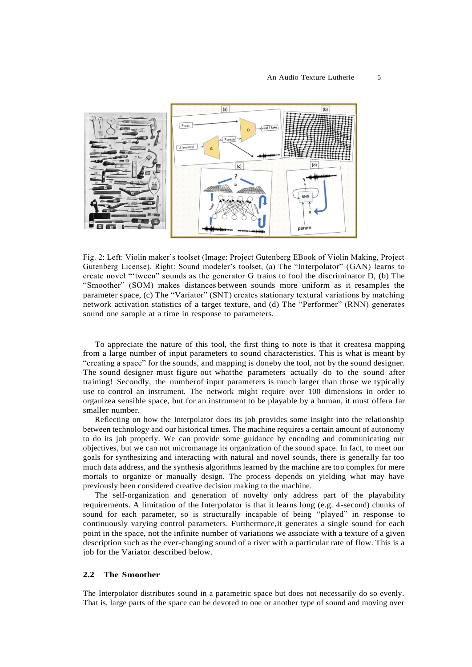

Fig. 2: Left: Violin maker's toolset (Image: Project Gutenberg EBook of Violin Making, Project Gutenberg License). Right: Sound modeler's toolset, (a) The "Interpolator" (GAN) learns to create novel "'tween" sounds as the generator G trains to fool the discriminator D, (b) The "Smoother" (SOM) makes distances between sounds more uniform as it resamples the parameter space, (c) The "Variator" (SNT) creates stationary textural variations by matching network activation statistics of a target texture, and (d) The "Performer" (RNN) generates sound one sample at a time in response to parameters.

To appreciate the nature of this tool, the first thing to note is that it createsa mapping from a large number of input parameters to sound characteristics. This is what is meant by "creating a space" for the sounds, and mapping is doneby the tool, not by the sound designer. The sound designer must figure out whatthe parameters actually do to the sound after training! Secondly, the numberof input parameters is much larger than those we typically use to control an instrument. The network might require over 100 dimensions in order to organizea sensible space, but for an instrument to be playable by a human, it must offera far smaller number.

Reflecting on how the Interpolator does its job provides some insight into the relationship between technology and our historical times. The machine requires a certain amount of autonomy to do its job properly. We can provide some guidance by encoding and communicating our objectives, but we can not micromanage its organization of the sound space. In fact, to meet our goals for synthesizing and interacting with natural and novel sounds, there is generally far too much data address, and the synthesis algorithms learned by the machine are too complex for mere mortals to organize or manually design. The process depends on yielding what may have previously been considered creative decision making to the machine.

The self-organization and generation of novelty only address part of the playability requirements. A limitation of the Interpolator is that it learns long (e.g. 4-second) chunks of sound for each parameter, so is structurally incapable of being "played" in response to continuously varying control parameters. Furthermore,it generates a single sound for each point in the space, not the infinite number of variations we associate with a texture of a given description such as the ever-changing sound of a river with a particular rate of flow. This is a job for the Variator described below.

#### **2.2 The Smoother**

The Interpolator distributes sound in a parametric space but does not necessarily do so evenly. That is, large parts of the space can be devoted to one or another type of sound and moving over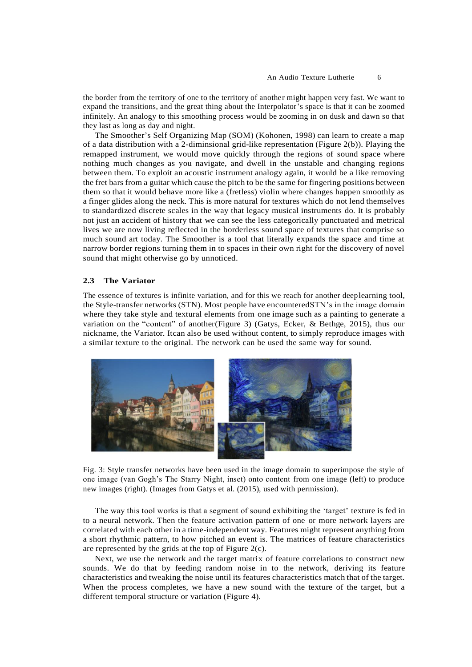the border from the territory of one to the territory of another might happen very fast. We want to expand the transitions, and the great thing about the Interpolator's space is that it can be zoomed infinitely. An analogy to this smoothing process would be zooming in on dusk and dawn so that they last as long as day and night.

The Smoother's Self Organizing Map (SOM) (Kohonen, 1998) can learn to create a map of a data distribution with a 2-diminsional grid-like representation (Figure 2(b)). Playing the remapped instrument, we would move quickly through the regions of sound space where nothing much changes as you navigate, and dwell in the unstable and changing regions between them. To exploit an acoustic instrument analogy again, it would be a like removing the fret bars from a guitar which cause the pitch to be the same for fingering positions between them so that it would behave more like a (fretless) violin where changes happen smoothly as a finger glides along the neck. This is more natural for textures which do not lend themselves to standardized discrete scales in the way that legacy musical instruments do. It is probably not just an accident of history that we can see the less categorically punctuated and metrical lives we are now living reflected in the borderless sound space of textures that comprise so much sound art today. The Smoother is a tool that literally expands the space and time at narrow border regions turning them in to spaces in their own right for the discovery of novel sound that might otherwise go by unnoticed.

#### **2.3 The Variator**

The essence of textures is infinite variation, and for this we reach for another deeplearning tool, the Style-transfer networks (STN). Most people have encounteredSTN's in the image domain where they take style and textural elements from one image such as a painting to generate a variation on the "content" of another(Figure 3) (Gatys, Ecker, & Bethge, 2015), thus our nickname, the Variator. Itcan also be used without content, to simply reproduce images with a similar texture to the original. The network can be used the same way for sound.



Fig. 3: Style transfer networks have been used in the image domain to superimpose the style of one image (van Gogh's The Starry Night, inset) onto content from one image (left) to produce new images (right). (Images from Gatys et al. (2015), used with permission).

The way this tool works is that a segment of sound exhibiting the 'target' texture is fed in to a neural network. Then the feature activation pattern of one or more network layers are correlated with each other in a time-independent way. Features might represent anything from a short rhythmic pattern, to how pitched an event is. The matrices of feature characteristics are represented by the grids at the top of Figure 2(c).

Next, we use the network and the target matrix of feature correlations to construct new sounds. We do that by feeding random noise in to the network, deriving its feature characteristics and tweaking the noise until its features characteristics match that of the target. When the process completes, we have a new sound with the texture of the target, but a different temporal structure or variation (Figure 4).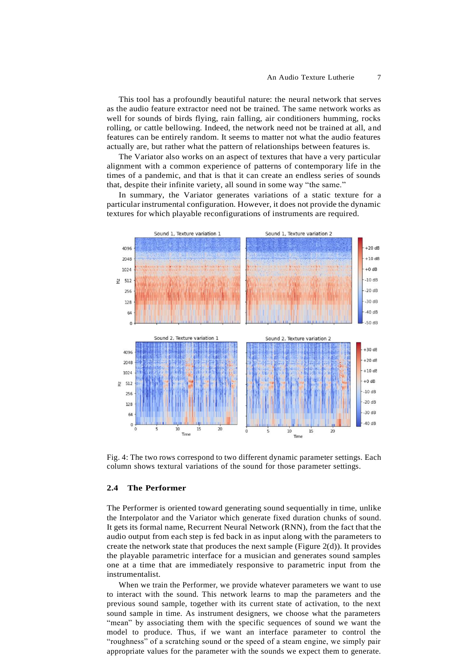This tool has a profoundly beautiful nature: the neural network that serves as the audio feature extractor need not be trained. The same network works as well for sounds of birds flying, rain falling, air conditioners humming, rocks rolling, or cattle bellowing. Indeed, the network need not be trained at all, and features can be entirely random. It seems to matter not what the audio features actually are, but rather what the pattern of relationships between features is.

The Variator also works on an aspect of textures that have a very particular alignment with a common experience of patterns of contemporary life in the times of a pandemic, and that is that it can create an endless series of sounds that, despite their infinite variety, all sound in some way "the same."

In summary, the Variator generates variations of a static texture for a particular instrumental configuration. However, it does not provide the dynamic textures for which playable reconfigurations of instruments are required.



Fig. 4: The two rows correspond to two different dynamic parameter settings. Each column shows textural variations of the sound for those parameter settings.

### **2.4 The Performer**

The Performer is oriented toward generating sound sequentially in time, unlike the Interpolator and the Variator which generate fixed duration chunks of sound. It gets its formal name, Recurrent Neural Network (RNN), from the fact that the audio output from each step is fed back in as input along with the parameters to create the network state that produces the next sample (Figure 2(d)). It provides the playable parametric interface for a musician and generates sound samples one at a time that are immediately responsive to parametric input from the instrumentalist.

When we train the Performer, we provide whatever parameters we want to use to interact with the sound. This network learns to map the parameters and the previous sound sample, together with its current state of activation, to the next sound sample in time. As instrument designers, we choose what the parameters "mean" by associating them with the specific sequences of sound we want the model to produce. Thus, if we want an interface parameter to control the "roughness" of a scratching sound or the speed of a steam engine, we simply pair appropriate values for the parameter with the sounds we expect them to generate.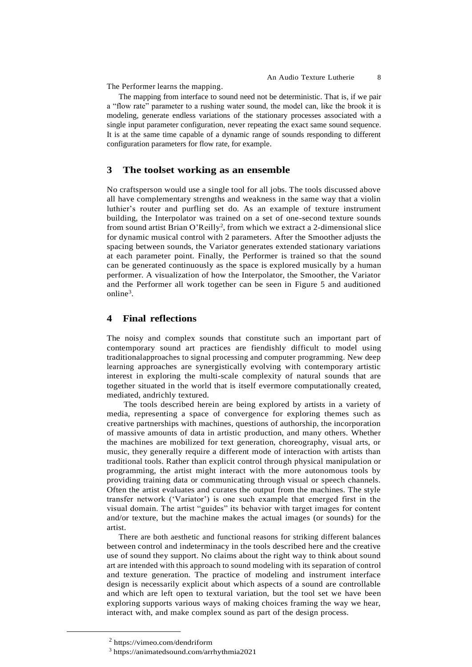The Performer learns the mapping.

The mapping from interface to sound need not be deterministic. That is, if we pair a "flow rate" parameter to a rushing water sound, the model can, like the brook it is modeling, generate endless variations of the stationary processes associated with a single input parameter configuration, never repeating the exact same sound sequence. It is at the same time capable of a dynamic range of sounds responding to different configuration parameters for flow rate, for example.

### **3 The toolset working as an ensemble**

No craftsperson would use a single tool for all jobs. The tools discussed above all have complementary strengths and weakness in the same way that a violin luthier's router and purfling set do. As an example of texture instrument building, the Interpolator was trained on a set of one-second texture sounds from sound artist Brian O'Reilly<sup>2</sup>, from which we extract a 2-dimensional slice for dynamic musical control with 2 parameters. After the Smoother adjusts the spacing between sounds, the Variator generates extended stationary variations at each parameter point. Finally, the Performer is trained so that the sound can be generated continuously as the space is explored musically by a human performer. A visualization of how the Interpolator, the Smoother, the Variator and the Performer all work together can be seen in Figure 5 and auditioned online<sup>3</sup>.

# **4 Final reflections**

The noisy and complex sounds that constitute such an important part of contemporary sound art practices are fiendishly difficult to model using traditionalapproaches to signal processing and computer programming. New deep learning approaches are synergistically evolving with contemporary artistic interest in exploring the multi-scale complexity of natural sounds that are together situated in the world that is itself evermore computationally created, mediated, andrichly textured.

The tools described herein are being explored by artists in a variety of media, representing a space of convergence for exploring themes such as creative partnerships with machines, questions of authorship, the incorporation of massive amounts of data in artistic production, and many others. Whether the machines are mobilized for text generation, choreography, visual arts, or music, they generally require a different mode of interaction with artists than traditional tools. Rather than explicit control through physical manipulation or programming, the artist might interact with the more autonomous tools by providing training data or communicating through visual or speech channels. Often the artist evaluates and curates the output from the machines. The style transfer network ('Variator') is one such example that emerged first in the visual domain. The artist "guides" its behavior with target images for content and/or texture, but the machine makes the actual images (or sounds) for the artist.

There are both aesthetic and functional reasons for striking different balances between control and indeterminacy in the tools described here and the creative use of sound they support. No claims about the right way to think about sound art are intended with this approach to sound modeling with its separation of control and texture generation. The practice of modeling and instrument interface design is necessarily explicit about which aspects of a sound are controllable and which are left open to textural variation, but the tool set we have been exploring supports various ways of making choices framing the way we hear, interact with, and make complex sound as part of the design process.

<sup>2</sup> https://vimeo.com/dendriform

<sup>3</sup> https://animatedsound.com/arrhythmia2021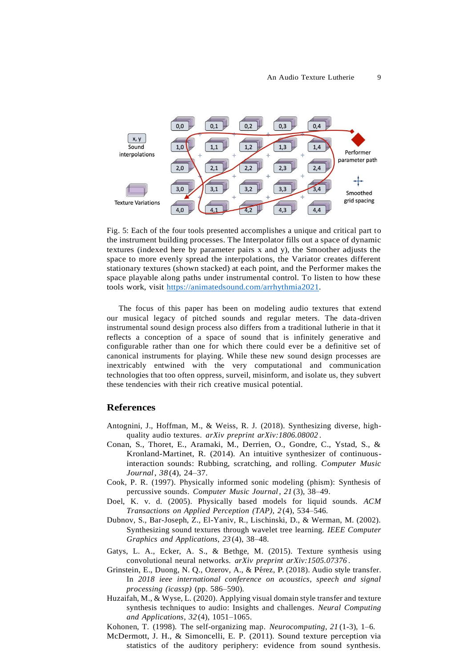

Fig. 5: Each of the four tools presented accomplishes a unique and critical part to the instrument building processes. The Interpolator fills out a space of dynamic textures (indexed here by parameter pairs x and y), the Smoother adjusts the space to more evenly spread the interpolations, the Variator creates different stationary textures (shown stacked) at each point, and the Performer makes the space playable along paths under instrumental control. To listen to how these tools work, visit [https://animatedsound.com/arrhythmia2021.](https://animatedsound.com/arrhythmia2021)

The focus of this paper has been on modeling audio textures that extend our musical legacy of pitched sounds and regular meters. The data-driven instrumental sound design process also differs from a traditional lutherie in that it reflects a conception of a space of sound that is infinitely generative and configurable rather than one for which there could ever be a definitive set of canonical instruments for playing. While these new sound design processes are inextricably entwined with the very computational and communication technologies that too often oppress, surveil, misinform, and isolate us, they subvert these tendencies with their rich creative musical potential.

#### **References**

- Antognini, J., Hoffman, M., & Weiss, R. J. (2018). Synthesizing diverse, highquality audio textures. *arXiv preprint arXiv:1806.08002* .
- Conan, S., Thoret, E., Aramaki, M., Derrien, O., Gondre, C., Ystad, S., & Kronland-Martinet, R. (2014). An intuitive synthesizer of continuousinteraction sounds: Rubbing, scratching, and rolling. *Computer Music Journal*, *38* (4), 24–37.
- Cook, P. R. (1997). Physically informed sonic modeling (phism): Synthesis of percussive sounds. *Computer Music Journal*, *21* (3), 38–49.
- Doel, K. v. d. (2005). Physically based models for liquid sounds. *ACM Transactions on Applied Perception (TAP)*, *2* (4), 534–546.
- Dubnov, S., Bar-Joseph, Z., El-Yaniv, R., Lischinski, D., & Werman, M. (2002). Synthesizing sound textures through wavelet tree learning. *IEEE Computer Graphics and Applications*, *23* (4), 38–48.
- Gatys, L. A., Ecker, A. S., & Bethge, M. (2015). Texture synthesis using convolutional neural networks. *arXiv preprint arXiv:1505.07376* .
- Grinstein, E., Duong, N. Q., Ozerov, A., & Pérez, P. (2018). Audio style transfer. In *2018 ieee international conference on acoustics, speech and signal processing (icassp)* (pp. 586–590).
- Huzaifah, M., & Wyse, L. (2020). Applying visual domain style transfer and texture synthesis techniques to audio: Insights and challenges. *Neural Computing and Applications*, *32* (4), 1051–1065.
- Kohonen, T. (1998). The self-organizing map. *Neurocomputing*, *21* (1-3), 1–6.
- McDermott, J. H., & Simoncelli, E. P. (2011). Sound texture perception via statistics of the auditory periphery: evidence from sound synthesis.